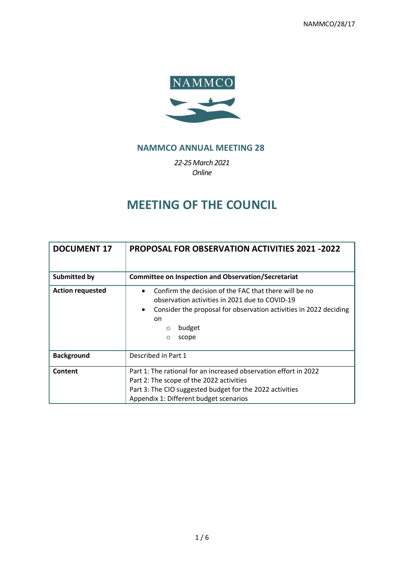

# **NAMMCO ANNUAL MEETING 28**

*22-25March 2021 Online*

# **MEETING OF THE COUNCIL**

| <b>DOCUMENT 17</b>      | <b>PROPOSAL FOR OBSERVATION ACTIVITIES 2021 -2022</b>                                                                                                                                                                              |  |  |  |  |  |  |  |  |  |  |
|-------------------------|------------------------------------------------------------------------------------------------------------------------------------------------------------------------------------------------------------------------------------|--|--|--|--|--|--|--|--|--|--|
| Submitted by            | <b>Committee on Inspection and Observation/Secretariat</b>                                                                                                                                                                         |  |  |  |  |  |  |  |  |  |  |
| <b>Action requested</b> | Confirm the decision of the FAC that there will be no<br>observation activities in 2021 due to COVID-19<br>Consider the proposal for observation activities in 2022 deciding<br>$\bullet$<br>on<br>budget<br>$\circ$<br>scope<br>O |  |  |  |  |  |  |  |  |  |  |
| <b>Background</b>       | Described in Part 1                                                                                                                                                                                                                |  |  |  |  |  |  |  |  |  |  |
| Content                 | Part 1: The rational for an increased observation effort in 2022<br>Part 2: The scope of the 2022 activities<br>Part 3: The CIO suggested budget for the 2022 activities<br>Appendix 1: Different budget scenarios                 |  |  |  |  |  |  |  |  |  |  |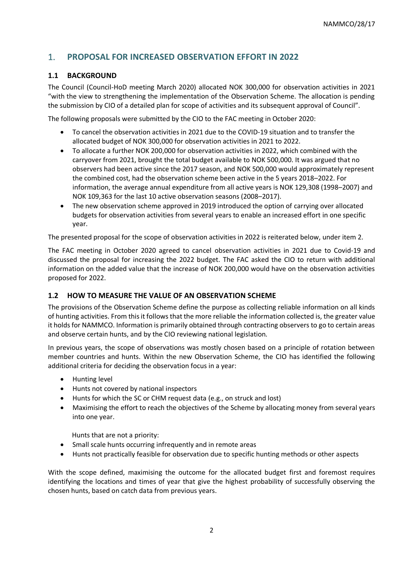# 1. **PROPOSAL FOR INCREASED OBSERVATION EFFORT IN 2022**

#### **1.1 BACKGROUND**

The Council (Council-HoD meeting March 2020) allocated NOK 300,000 for observation activities in 2021 "with the view to strengthening the implementation of the Observation Scheme. The allocation is pending the submission by CIO of a detailed plan for scope of activities and its subsequent approval of Council".

The following proposals were submitted by the CIO to the FAC meeting in October 2020:

- To cancel the observation activities in 2021 due to the COVID-19 situation and to transfer the allocated budget of NOK 300,000 for observation activities in 2021 to 2022.
- To allocate a further NOK 200,000 for observation activities in 2022, which combined with the carryover from 2021, brought the total budget available to NOK 500,000. It was argued that no observers had been active since the 2017 season, and NOK 500,000 would approximately represent the combined cost, had the observation scheme been active in the 5 years 2018–2022. For information, the average annual expenditure from all active years is NOK 129,308 (1998–2007) and NOK 109,363 for the last 10 active observation seasons (2008–2017).
- The new observation scheme approved in 2019 introduced the option of carrying over allocated budgets for observation activities from several years to enable an increased effort in one specific year.

The presented proposal for the scope of observation activities in 2022 is reiterated below, under item 2.

The FAC meeting in October 2020 agreed to cancel observation activities in 2021 due to Covid-19 and discussed the proposal for increasing the 2022 budget. The FAC asked the CIO to return with additional information on the added value that the increase of NOK 200,000 would have on the observation activities proposed for 2022.

#### **1.2 HOW TO MEASURE THE VALUE OF AN OBSERVATION SCHEME**

The provisions of the Observation Scheme define the purpose as collecting reliable information on all kinds of hunting activities. From this it follows that the more reliable the information collected is, the greater value it holds for NAMMCO. Information is primarily obtained through contracting observers to go to certain areas and observe certain hunts, and by the CIO reviewing national legislation.

In previous years, the scope of observations was mostly chosen based on a principle of rotation between member countries and hunts. Within the new Observation Scheme, the CIO has identified the following additional criteria for deciding the observation focus in a year:

- Hunting level
- Hunts not covered by national inspectors
- Hunts for which the SC or CHM request data (e.g., on struck and lost)
- Maximising the effort to reach the objectives of the Scheme by allocating money from several years into one year.

Hunts that are not a priority:

- Small scale hunts occurring infrequently and in remote areas
- Hunts not practically feasible for observation due to specific hunting methods or other aspects

With the scope defined, maximising the outcome for the allocated budget first and foremost requires identifying the locations and times of year that give the highest probability of successfully observing the chosen hunts, based on catch data from previous years.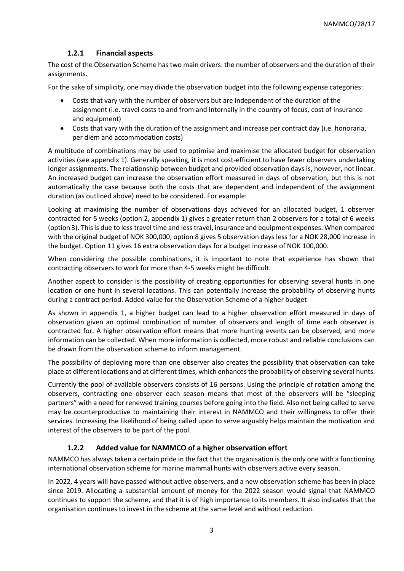#### **1.2.1 Financial aspects**

The cost of the Observation Scheme has two main drivers: the number of observers and the duration of their assignments.

For the sake of simplicity, one may divide the observation budget into the following expense categories:

- Costs that vary with the number of observers but are independent of the duration of the assignment (i.e. travel costs to and from and internally in the country of focus, cost of insurance and equipment)
- Costs that vary with the duration of the assignment and increase per contract day (i.e. honoraria, per diem and accommodation costs)

A multitude of combinations may be used to optimise and maximise the allocated budget for observation activities (see appendix 1). Generally speaking, it is most cost-efficient to have fewer observers undertaking longer assignments. The relationship between budget and provided observation days is, however, not linear. An increased budget can increase the observation effort measured in days of observation, but this is not automatically the case because both the costs that are dependent and independent of the assignment duration (as outlined above) need to be considered. For example:

Looking at maximising the number of observations days achieved for an allocated budget, 1 observer contracted for 5 weeks (option 2, appendix 1) gives a greater return than 2 observers for a total of 6 weeks (option 3). This is due to less travel time and less travel, insurance and equipment expenses. When compared with the original budget of NOK 300,000, option 8 gives 5 observation days less for a NOK 28,000 increase in the budget. Option 11 gives 16 extra observation days for a budget increase of NOK 100,000.

When considering the possible combinations, it is important to note that experience has shown that contracting observers to work for more than 4-5 weeks might be difficult.

Another aspect to consider is the possibility of creating opportunities for observing several hunts in one location or one hunt in several locations. This can potentially increase the probability of observing hunts during a contract period. Added value for the Observation Scheme of a higher budget

As shown in appendix 1, a higher budget can lead to a higher observation effort measured in days of observation given an optimal combination of number of observers and length of time each observer is contracted for. A higher observation effort means that more hunting events can be observed, and more information can be collected. When more information is collected, more robust and reliable conclusions can be drawn from the observation scheme to inform management.

The possibility of deploying more than one observer also creates the possibility that observation can take place at different locations and at different times, which enhances the probability of observing several hunts.

Currently the pool of available observers consists of 16 persons. Using the principle of rotation among the observers, contracting one observer each season means that most of the observers will be "sleeping partners" with a need for renewed training courses before going into the field. Also not being called to serve may be counterproductive to maintaining their interest in NAMMCO and their willingness to offer their services. Increasing the likelihood of being called upon to serve arguably helps maintain the motivation and interest of the observers to be part of the pool.

### **1.2.2 Added value for NAMMCO of a higher observation effort**

NAMMCO has always taken a certain pride in the fact that the organisation is the only one with a functioning international observation scheme for marine mammal hunts with observers active every season.

In 2022, 4 years will have passed without active observers, and a new observation scheme has been in place since 2019. Allocating a substantial amount of money for the 2022 season would signal that NAMMCO continues to support the scheme, and that it is of high importance to its members. It also indicates that the organisation continues to invest in the scheme at the same level and without reduction.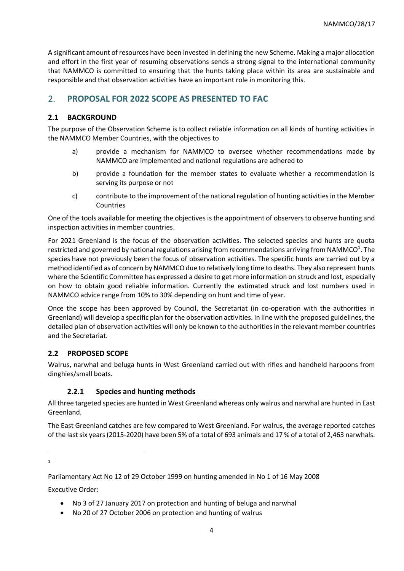A significant amount of resources have been invested in defining the new Scheme. Making a major allocation and effort in the first year of resuming observations sends a strong signal to the international community that NAMMCO is committed to ensuring that the hunts taking place within its area are sustainable and responsible and that observation activities have an important role in monitoring this.

# 2. **PROPOSAL FOR 2022 SCOPE AS PRESENTED TO FAC**

### **2.1 BACKGROUND**

The purpose of the Observation Scheme is to collect reliable information on all kinds of hunting activities in the NAMMCO Member Countries, with the objectives to

- a) provide a mechanism for NAMMCO to oversee whether recommendations made by NAMMCO are implemented and national regulations are adhered to
- b) provide a foundation for the member states to evaluate whether a recommendation is serving its purpose or not
- c) contribute to the improvement of the national regulation of hunting activities in the Member Countries

One of the tools available for meeting the objectives is the appointment of observers to observe hunting and inspection activities in member countries.

For 2021 Greenland is the focus of the observation activities. The selected species and hunts are quota restricted and governed by national regulations arising from recommendations arriving from NAMMCO<sup>1</sup>. The species have not previously been the focus of observation activities. The specific hunts are carried out by a method identified as of concern by NAMMCO due to relatively long time to deaths. They also represent hunts where the Scientific Committee has expressed a desire to get more information on struck and lost, especially on how to obtain good reliable information. Currently the estimated struck and lost numbers used in NAMMCO advice range from 10% to 30% depending on hunt and time of year.

Once the scope has been approved by Council, the Secretariat (in co-operation with the authorities in Greenland) will develop a specific plan for the observation activities. In line with the proposed guidelines, the detailed plan of observation activities will only be known to the authorities in the relevant member countries and the Secretariat.

### **2.2 PROPOSED SCOPE**

Walrus, narwhal and beluga hunts in West Greenland carried out with rifles and handheld harpoons from dinghies/small boats.

### **2.2.1 Species and hunting methods**

All three targeted species are hunted in West Greenland whereas only walrus and narwhal are hunted in East Greenland.

The East Greenland catches are few compared to West Greenland. For walrus, the average reported catches of the last six years (2015-2020) have been 5% of a total of 693 animals and 17 % of a total of 2,463 narwhals.

1

Executive Order:

- No 3 of 27 January 2017 on protection and hunting of beluga and narwhal
- No 20 of 27 October 2006 on protection and hunting of walrus

Parliamentary Act No 12 of 29 October 1999 on hunting amended in No 1 of 16 May 2008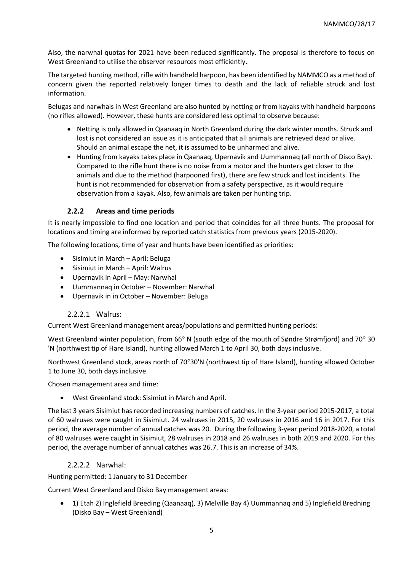Also, the narwhal quotas for 2021 have been reduced significantly. The proposal is therefore to focus on West Greenland to utilise the observer resources most efficiently.

The targeted hunting method, rifle with handheld harpoon, has been identified by NAMMCO as a method of concern given the reported relatively longer times to death and the lack of reliable struck and lost information.

Belugas and narwhals in West Greenland are also hunted by netting or from kayaks with handheld harpoons (no rifles allowed). However, these hunts are considered less optimal to observe because:

- Netting is only allowed in Qaanaaq in North Greenland during the dark winter months. Struck and lost is not considered an issue as it is anticipated that all animals are retrieved dead or alive. Should an animal escape the net, it is assumed to be unharmed and alive.
- Hunting from kayaks takes place in Qaanaaq, Upernavik and Uummannaq (all north of Disco Bay). Compared to the rifle hunt there is no noise from a motor and the hunters get closer to the animals and due to the method (harpooned first), there are few struck and lost incidents. The hunt is not recommended for observation from a safety perspective, as it would require observation from a kayak. Also, few animals are taken per hunting trip.

#### **2.2.2 Areas and time periods**

It is nearly impossible to find one location and period that coincides for all three hunts. The proposal for locations and timing are informed by reported catch statistics from previous years (2015-2020).

The following locations, time of year and hunts have been identified as priorities:

- Sisimiut in March April: Beluga
- Sisimiut in March April: Walrus
- Upernavik in April May: Narwhal
- Uummannaq in October November: Narwhal
- Upernavik in in October November: Beluga

#### 2.2.2.1 Walrus:

Current West Greenland management areas/populations and permitted hunting periods:

West Greenland winter population, from 66° N (south edge of the mouth of Søndre Strømfjord) and 70° 30 'N (northwest tip of Hare Island), hunting allowed March 1 to April 30, both days inclusive.

Northwest Greenland stock, areas north of 70°30'N (northwest tip of Hare Island), hunting allowed October 1 to June 30, both days inclusive.

Chosen management area and time:

• West Greenland stock: Sisimiut in March and April.

The last 3 years Sisimiut has recorded increasing numbers of catches. In the 3-year period 2015-2017, a total of 60 walruses were caught in Sisimiut. 24 walruses in 2015, 20 walruses in 2016 and 16 in 2017. For this period, the average number of annual catches was 20. During the following 3-year period 2018-2020, a total of 80 walruses were caught in Sisimiut, 28 walruses in 2018 and 26 walruses in both 2019 and 2020. For this period, the average number of annual catches was 26.7. This is an increase of 34%.

#### 2.2.2.2 Narwhal:

Hunting permitted: 1 January to 31 December

Current West Greenland and Disko Bay management areas:

• 1) Etah 2) Inglefield Breeding (Qaanaaq), 3) Melville Bay 4) Uummannaq and 5) Inglefield Bredning (Disko Bay – West Greenland)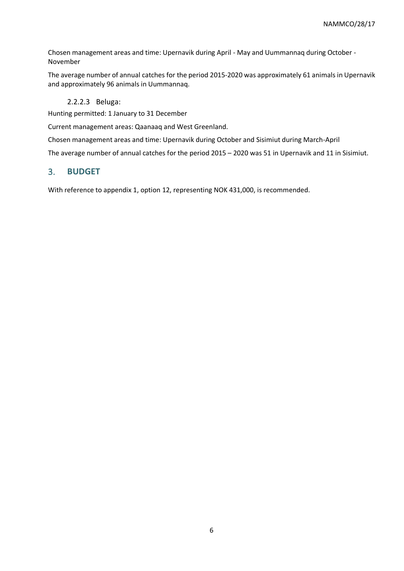Chosen management areas and time: Upernavik during April - May and Uummannaq during October - November

The average number of annual catches for the period 2015-2020 was approximately 61 animals in Upernavik and approximately 96 animals in Uummannaq.

#### 2.2.2.3 Beluga:

Hunting permitted: 1 January to 31 December

Current management areas: Qaanaaq and West Greenland.

Chosen management areas and time: Upernavik during October and Sisimiut during March-April

The average number of annual catches for the period 2015 – 2020 was 51 in Upernavik and 11 in Sisimiut.

#### 3. **BUDGET**

With reference to appendix 1, option 12, representing NOK 431,000, is recommended.